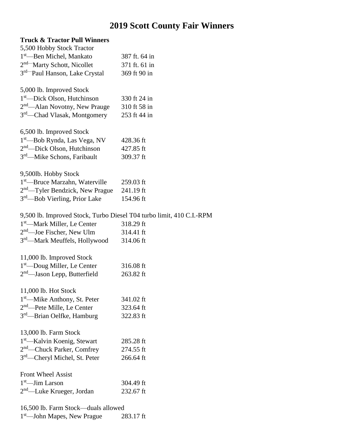# **2019 Scott County Fair Winners**

| <b>Truck &amp; Tractor Pull Winners</b>                              |               |
|----------------------------------------------------------------------|---------------|
| 5,500 Hobby Stock Tractor                                            |               |
| 1 <sup>st</sup> —Ben Michel, Mankato                                 | 387 ft. 64 in |
| 2 <sup>nd</sup> –Marty Schott, Nicollet                              | 371 ft. 61 in |
| 3 <sup>rd—</sup> Paul Hanson, Lake Crystal                           | 369 ft 90 in  |
| 5,000 lb. Improved Stock                                             |               |
| 1 <sup>st</sup> —Dick Olson, Hutchinson                              | 330 ft 24 in  |
| 2 <sup>nd</sup> —Alan Novotny, New Prauge                            | 310 ft 58 in  |
| 3rd—Chad Vlasak, Montgomery                                          | 253 ft 44 in  |
| 6,500 lb. Improved Stock                                             |               |
| 1st-Bob Rynda, Las Vega, NV                                          | 428.36 ft     |
| 2 <sup>nd</sup> —Dick Olson, Hutchinson                              | 427.85 ft     |
| 3rd-Mike Schons, Faribault                                           | 309.37 ft     |
| 9,500lb. Hobby Stock                                                 |               |
| 1 <sup>st</sup> —Bruce Marzahn, Waterville                           | 259.03 ft     |
| $2nd$ —Tyler Bendzick, New Prague                                    | 241.19 ft     |
| 3rd-Bob Vierling, Prior Lake                                         | 154.96 ft     |
| 9,500 lb. Improved Stock, Turbo Diesel T04 turbo limit, 410 C.I.-RPM |               |
| $1st$ —Mark Miller, Le Center                                        | 318.29 ft     |
| 2 <sup>nd</sup> —Joe Fischer, New Ulm                                | 314.41 ft     |
| 3 <sup>rd</sup> —Mark Meuffels, Hollywood 314.06 ft                  |               |
| 11,000 lb. Improved Stock                                            |               |
| 1 <sup>st</sup> —Doug Miller, Le Center                              | 316.08 ft     |
| $2nd$ —Jason Lepp, Butterfield                                       | 263.82 ft     |
| 11,000 lb. Hot Stock                                                 |               |
| 1 <sup>st</sup> —Mike Anthony, St. Peter                             | 341.02 ft     |
| 2 <sup>nd</sup> —Pete Mille, Le Center                               | 323.64 ft     |
| 3rd-Brian Oelfke, Hamburg                                            | 322.83 ft     |
| 13,000 lb. Farm Stock                                                |               |
| 1 <sup>st</sup> —Kalvin Koenig, Stewart                              | 285.28 ft     |
| 2 <sup>nd</sup> —Chuck Parker, Comfrey                               | 274.55 ft     |
| 3rd-Cheryl Michel, St. Peter                                         | 266.64 ft     |
| <b>Front Wheel Assist</b>                                            |               |
| $1st$ —Jim Larson                                                    | 304.49 ft     |
| $2nd$ —Luke Krueger, Jordan                                          | 232.67 ft     |
| 16,500 lb. Farm Stock—duals allowed                                  |               |
| 1 <sup>st</sup> —John Mapes, New Prague                              | 283.17 ft     |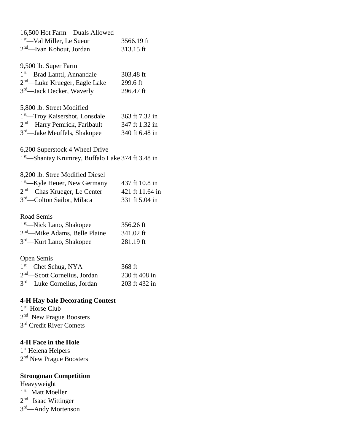| 16,500 Hot Farm-Duals Allowed                                 |                 |
|---------------------------------------------------------------|-----------------|
| 1 <sup>st</sup> —Val Miller, Le Sueur                         | 3566.19 ft      |
| 2 <sup>nd</sup> —Ivan Kohout, Jordan                          | 313.15 ft       |
| 9,500 lb. Super Farm                                          |                 |
| 1 <sup>st</sup> -Brad Lanttl, Annandale                       | 303.48 ft       |
| 2 <sup>nd</sup> —Luke Krueger, Eagle Lake                     | 299.6 ft        |
| 3rd-Jack Decker, Waverly                                      | 296.47 ft       |
| 5,800 lb. Street Modified                                     |                 |
| 1 <sup>st</sup> —Troy Kaisershot, Lonsdale                    | 363 ft 7.32 in  |
| 2 <sup>nd</sup> —Harry Pemrick, Faribault                     | 347 ft 1.32 in  |
| 3rd—Jake Meuffels, Shakopee                                   | 340 ft 6.48 in  |
| 6,200 Superstock 4 Wheel Drive                                |                 |
| 1 <sup>st</sup> —Shantay Krumrey, Buffalo Lake 374 ft 3.48 in |                 |
| 8,200 lb. Stree Modified Diesel                               |                 |
| 1 <sup>st</sup> —Kyle Heuer, New Germany                      | 437 ft 10.8 in  |
| 2 <sup>nd</sup> —Chas Krueger, Le Center                      | 421 ft 11.64 in |
| 3rd-Colton Sailor, Milaca                                     | 331 ft 5.04 in  |
| Road Semis                                                    |                 |
| 1 <sup>st</sup> -Nick Lano, Shakopee                          | 356.26 ft       |
| 2 <sup>nd</sup> —Mike Adams, Belle Plaine                     | 341.02 ft       |
| 3rd-Kurt Lano, Shakopee                                       | 281.19 ft       |
| Open Semis                                                    |                 |
| 1 <sup>st</sup> -Chet Schug, NYA                              | 368 ft          |
| 2 <sup>nd</sup> —Scott Cornelius, Jordan                      | 230 ft 408 in   |
| 3 <sup>rd</sup> —Luke Cornelius, Jordan                       | 203 ft 432 in   |
| <b>4-H Hay bale Decorating Contest</b>                        |                 |
| 1 <sup>st</sup> Horse Club                                    |                 |
| 2 <sup>nd</sup> New Prague Boosters                           |                 |
| 3 <sup>rd</sup> Credit River Comets                           |                 |

## **4-H Face in the Hole**

1 st Helena Helpers 2<sup>nd</sup> New Prague Boosters

# **Strongman Competition**

Heavyweight 1 st—Matt Moeller 2<sup>nd—</sup>Isaac Wittinger 3<sup>rd</sup>—Andy Mortenson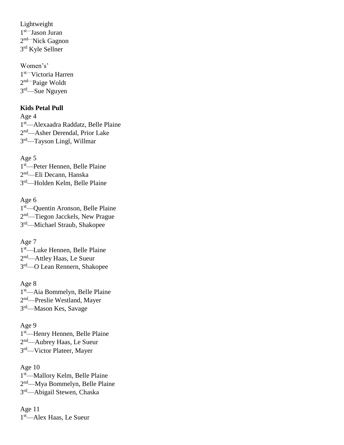Lightweight 1 st—Jason Juran 2<sup>nd—</sup>Nick Gagnon 3<sup>rd</sup> Kyle Sellner

Women's' 1 st—Victoria Harren 2<sup>nd—</sup>Paige Woldt 3<sup>rd</sup>—Sue Nguyen

#### **Kids Petal Pull**

Age 4 1 st—Alexaadra Raddatz, Belle Plaine 2<sup>nd</sup>—Asher Derendal, Prior Lake 3 rd—Tayson Lingl, Willmar

Age 5 1 st—Peter Hennen, Belle Plaine 2<sup>nd</sup>—Eli Decann, Hanska 3rd-Holden Kelm, Belle Plaine

Age 6 1 st—Quentin Aronson, Belle Plaine 2<sup>nd</sup>—Tiegon Jacckels, New Prague 3rd—Michael Straub, Shakopee

Age 7 1 st—Luke Hennen, Belle Plaine 2<sup>nd</sup>—Attley Haas, Le Sueur 3 rd—O Lean Rennern, Shakopee

Age 8 1 st—Aia Bommelyn, Belle Plaine 2<sup>nd</sup>—Preslie Westland, Mayer 3<sup>rd</sup>—Mason Kes, Savage

Age 9 1 st—Henry Hennen, Belle Plaine 2<sup>nd</sup>—Aubrey Haas, Le Sueur 3<sup>rd</sup>—Victor Plateer, Mayer

Age 10 1<sup>st</sup>—Mallory Kelm, Belle Plaine 2<sup>nd</sup>—Mya Bommelyn, Belle Plaine 3<sup>rd</sup>—Abigail Stewen, Chaska

Age 11 1<sup>st</sup>—Alex Haas, Le Sueur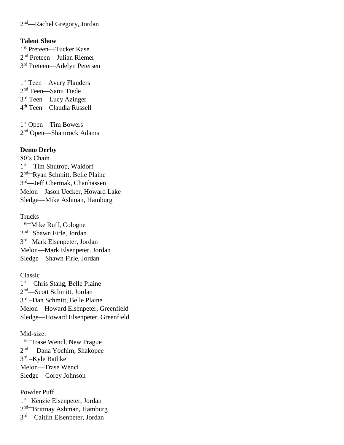2<sup>nd</sup>—Rachel Gregory, Jordan

#### **Talent Show**

1 st Preteen—Tucker Kase 2<sup>nd</sup> Preteen—Julian Riemer 3<sup>rd</sup> Preteen—Adelyn Petersen

1<sup>st</sup> Teen-Avery Flanders 2 nd Teen—Sami Tiede 3<sup>rd</sup> Teen—Lucy Azinger 4 th Teen—Claudia Russell

1 st Open—Tim Bowers 2<sup>nd</sup> Open—Shamrock Adams

#### **Demo Derby**

80's Chain 1 st—Tim Shutrop, Waldorf 2<sup>nd—</sup>Ryan Schmitt, Belle Plaine 3<sup>rd</sup>—Jeff Chermak, Chanhassen Melon—Jason Uecker, Howard Lake Sledge—Mike Ashman, Hamburg

Trucks 1<sup>st-</sup>Mike Ruff, Cologne 2<sup>nd—</sup>Shawn Firle, Jordan 3<sup>rd—</sup>Mark Elsenpeter, Jordan Melon—Mark Elsenpeter, Jordan Sledge—Shawn Firle, Jordan

Classic 1<sup>st</sup>—Chris Stang, Belle Plaine 2<sup>nd</sup>—Scott Schmitt, Jordan 3 rd –Dan Schmitt, Belle Plaine Melon—Howard Elsenpeter, Greenfield Sledge—Howard Elsenpeter, Greenfield

Mid-size: 1<sup>st—</sup>Trase Wencl, New Prague 2<sup>nd</sup> —Dana Yochim, Shakopee 3<sup>rd</sup> –Kyle Bathke Melon—Trase Wencl Sledge—Corey Johnson

Powder Puff 1 st—Kenzie Elsenpeter, Jordan 2<sup>nd—</sup>Brittnay Ashman, Hamburg 3<sup>rd</sup>—Caitlin Elsenpeter, Jordan